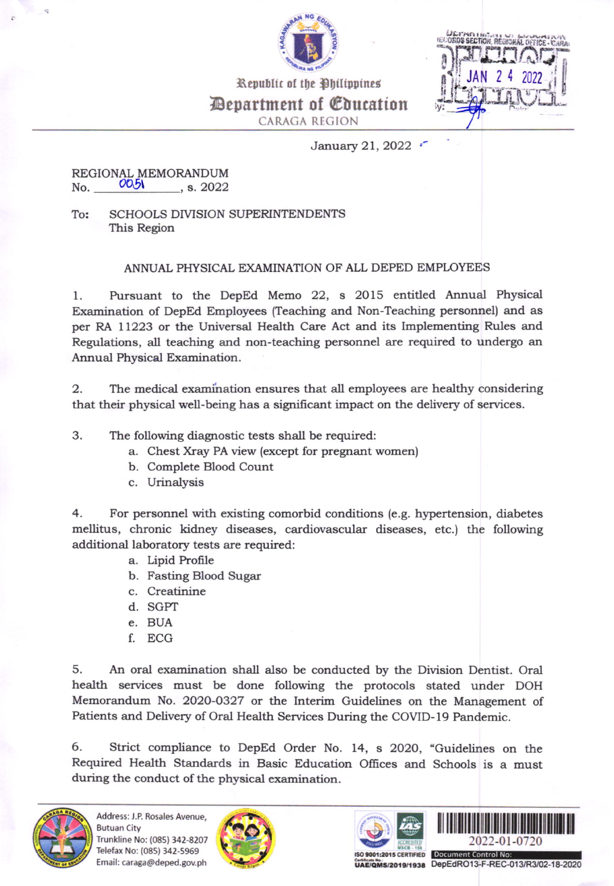

| <b>IELORDS SECTION, REGION</b> |   | LOFFICE - CA |  |
|--------------------------------|---|--------------|--|
| JAN                            | 2 | 2022         |  |
|                                |   |              |  |

Department of Education **CARAGA REGION** 

Republic of the Philippines

## January 21, 2022 .

## REGIONAL MEMORANDUM 0051 No.  $, s. 2022$

To: **SCHOOLS DIVISION SUPERINTENDENTS** This Region

## ANNUAL PHYSICAL EXAMINATION OF ALL DEPED EMPLOYEES

Pursuant to the DepEd Memo 22, s 2015 entitled Annual Physical 1. Examination of DepEd Employees (Teaching and Non-Teaching personnel) and as per RA 11223 or the Universal Health Care Act and its Implementing Rules and Regulations, all teaching and non-teaching personnel are required to undergo an Annual Physical Examination.

2. The medical examination ensures that all employees are healthy considering that their physical well-being has a significant impact on the delivery of services.

3. The following diagnostic tests shall be required:

- a. Chest Xray PA view (except for pregnant women)
- b. Complete Blood Count
- c. Urinalysis

4. For personnel with existing comorbid conditions (e.g. hypertension, diabetes mellitus, chronic kidney diseases, cardiovascular diseases, etc.) the following additional laboratory tests are required:

- a. Lipid Profile
- b. Fasting Blood Sugar
- c. Creatinine
- d. SGPT
- e. BUA
- f. ECG

5. An oral examination shall also be conducted by the Division Dentist. Oral health services must be done following the protocols stated under DOH Memorandum No. 2020-0327 or the Interim Guidelines on the Management of Patients and Delivery of Oral Health Services During the COVID-19 Pandemic.

Strict compliance to DepEd Order No. 14, s 2020, "Guidelines on the 6. Required Health Standards in Basic Education Offices and Schools is a must during the conduct of the physical examination.









UAE/QMS/2019/1938 DepEdRO13-F-REC-013/R3/02-18-2020